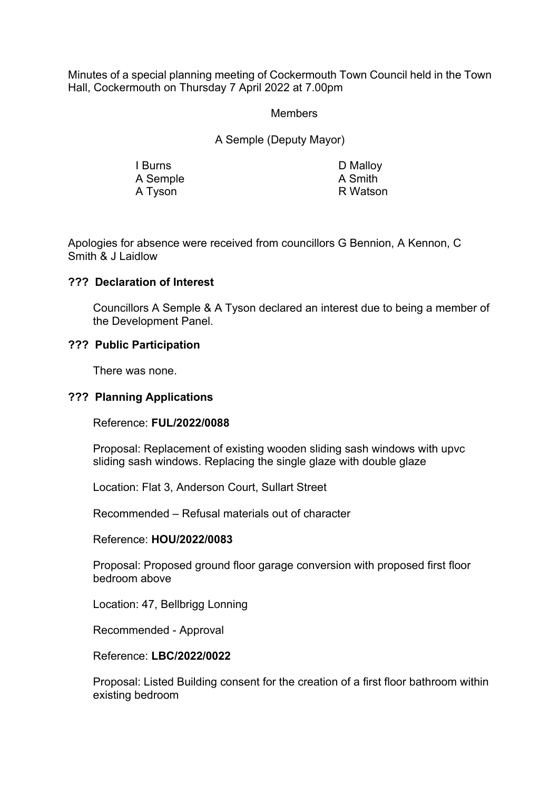Minutes of a special planning meeting of Cockermouth Town Council held in the Town Hall, Cockermouth on Thursday 7 April 2022 at 7.00pm

#### Members

A Semple (Deputy Mayor)

I Burns D Malloy A Semple A Smith<br>A Tyson B Matson A Tyson

Apologies for absence were received from councillors G Bennion, A Kennon, C Smith & J Laidlow

## **??? Declaration of Interest**

Councillors A Semple & A Tyson declared an interest due to being a member of the Development Panel.

## **??? Public Participation**

There was none.

#### **??? Planning Applications**

Reference: **FUL/2022/0088**

 Proposal: Replacement of existing wooden sliding sash windows with upvc sliding sash windows. Replacing the single glaze with double glaze

Location: Flat 3, Anderson Court, Sullart Street

Recommended – Refusal materials out of character

#### Reference: **HOU/2022/0083**

 Proposal: Proposed ground floor garage conversion with proposed first floor bedroom above

Location: 47, Bellbrigg Lonning

Recommended - Approval

Reference: **LBC/2022/0022**

 Proposal: Listed Building consent for the creation of a first floor bathroom within existing bedroom